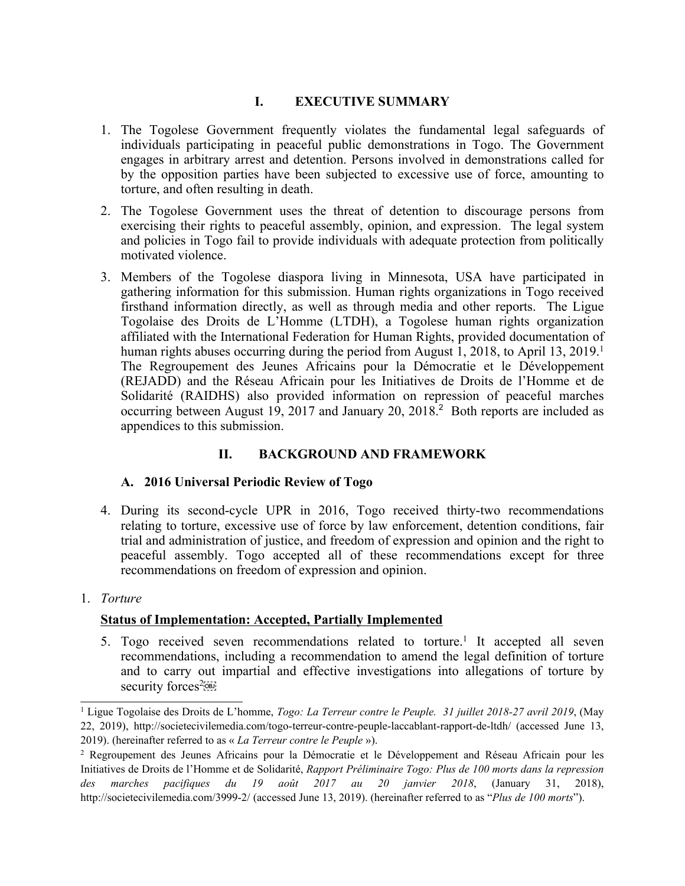# **I. EXECUTIVE SUMMARY**

- 1. The Togolese Government frequently violates the fundamental legal safeguards of individuals participating in peaceful public demonstrations in Togo. The Government engages in arbitrary arrest and detention. Persons involved in demonstrations called for by the opposition parties have been subjected to excessive use of force, amounting to torture, and often resulting in death.
- 2. The Togolese Government uses the threat of detention to discourage persons from exercising their rights to peaceful assembly, opinion, and expression. The legal system and policies in Togo fail to provide individuals with adequate protection from politically motivated violence.
- 3. Members of the Togolese diaspora living in Minnesota, USA have participated in gathering information for this submission. Human rights organizations in Togo received firsthand information directly, as well as through media and other reports. The Ligue Togolaise des Droits de L'Homme (LTDH), <sup>a</sup> Togolese human rights organization affiliated with the International Federation for Human Rights, provided documentation of human rights abuses occurring during the period from August 1, 2018, to April 13, 2019. 1 The Regroupement des Jeunes Africains pour la Démocratie et le Développement (REJADD) and the Réseau Africain pour les Initiatives de Droits de l'Homme et de Solidarité (RAIDHS) also provided information on repression of peaceful marches occurring between August 19, 2017 and January 20, 2018. 2 Both reports are included as appendices to this submission.

# **II. BACKGROUND AND FRAMEWORK**

## **A. 2016 Universal Periodic Review of Togo**

- 4. During its second-cycle UPR in 2016, Togo received thirty-two recommendations relating to torture, excessive use of force by law enforcement, detention conditions, fair trial and administration of justice, and freedom of expression and opinion and the right to peaceful assembly. Togo accepted all of these recommendations excep<sup>t</sup> for three recommendations on freedom of expression and opinion.
- 1. *Torture*

## **Status of Implementation: Accepted, Partially Implemented**

5. Togo received seven recommendations related to torture.<sup>1</sup> It accepted all seven recommendations, including <sup>a</sup> recommendation to amend the legal definition of torture and to carry out impartial and effective investigations into allegations of torture by security forces<sup>2</sup>

<sup>1</sup> Ligue Togolaise des Droits de L'homme, *Togo: La Terreur contre le Peuple. 31 juillet 2018-27 avril 2019*, (May 22, 2019), <http://societecivilemedia.com/togo-terreur-contre-peuple-laccablant-rapport-de-ltdh/> (accessed June 13, 2019). (hereinafter referred to as « *La Terreur contre le Peuple* »).

<sup>&</sup>lt;sup>2</sup> Regroupement des Jeunes Africains pour la Démocratie et le Développement and Réseau Africain pour les Initiatives de Droits de l'Homme et de Solidarité, *Rapport Préliminaire Togo: Plus de 100 morts dans la repression des marches pacifiques du 19 août 2017 au 20 janvier 2018*, (January 31, 2018), <http://societecivilemedia.com/3999-2/> (accessed June 13, 2019). (hereinafter referred to as "*Plus de 100 morts*").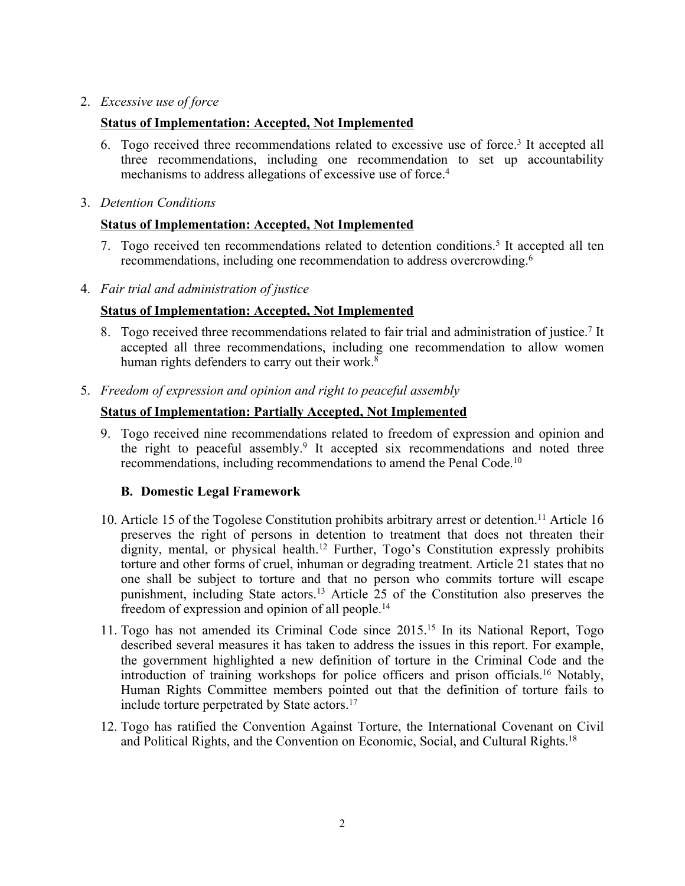## 2. *Excessive use of force*

## **Status of Implementation: Accepted, Not Implemented**

- 6. Togo received three recommendations related to excessive use of force. 3 It accepted all three recommendations, including one recommendation to set up accountability mechanisms to address allegations of excessive use of force. 4
- 3. *Detention Conditions*

## **Status of Implementation: Accepted, Not Implemented**

- 7. Togo received ten recommendations related to detention conditions. 5 It accepted all ten recommendations, including one recommendation to address overcrowding. 6
- 4. *Fair trial and administration of justice*

## **Status of Implementation: Accepted, Not Implemented**

- 8. Togo received three recommendations related to fair trial and administration of justice.<sup>7</sup> It accepted all three recommendations, including one recommendation to allow women human rights defenders to carry out their work. 8
- 5. *Freedom of expression and opinion and right to peaceful assembly*

## **Status of Implementation: Partially Accepted, Not Implemented**

9. Togo received nine recommendations related to freedom of expression and opinion and the right to peaceful assembly. 9 It accepted six recommendations and noted three recommendations, including recommendations to amend the Penal Code.<sup>10</sup>

## **B. Domestic Legal Framework**

- 10. Article 15 of the Togolese Constitution prohibits arbitrary arrest or detention. <sup>11</sup> Article 16 preserves the right of persons in detention to treatment that does not threaten their dignity, mental, or physical health.<sup>12</sup> Further, Togo's Constitution expressly prohibits torture and other forms of cruel, inhuman or degrading treatment. Article 21 states that no one shall be subject to torture and that no person who commits torture will escape punishment, including State actors. <sup>13</sup> Article 25 of the Constitution also preserves the freedom of expression and opinion of all people.<sup>14</sup>
- 11. Togo has not amended its Criminal Code since 2015.<sup>15</sup> In its National Report, Togo described several measures it has taken to address the issues in this report. For example, the governmen<sup>t</sup> highlighted <sup>a</sup> new definition of torture in the Criminal Code and the introduction of training workshops for police officers and prison officials. <sup>16</sup> Notably, Human Rights Committee members pointed out that the definition of torture fails to include torture perpetrated by State actors. 17
- 12. Togo has ratified the Convention Against Torture, the International Covenant on Civil and Political Rights, and the Convention on Economic, Social, and Cultural Rights. 18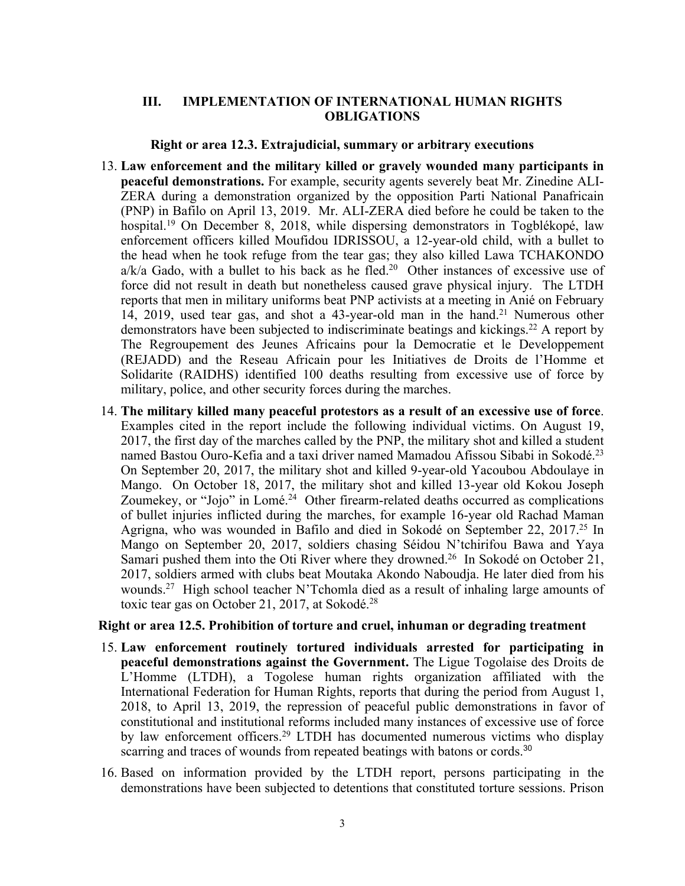### **III. IMPLEMENTATION OF INTERNATIONAL HUMAN RIGHTS OBLIGATIONS**

#### **Right or area 12.3. Extrajudicial, summary or arbitrary executions**

- 13. **Law enforcement and the military killed or gravely wounded many participants in peaceful demonstrations.** For example, security agents severely beat Mr. Zinedine ALI-ZERA during <sup>a</sup> demonstration organized by the opposition Parti National Panafricain (PNP) in Bafilo on April 13, 2019. Mr. ALI-ZERA died before he could be taken to the hospital. <sup>19</sup> On December 8, 2018, while dispersing demonstrators in Togblékopé, law enforcement officers killed Moufidou IDRISSOU, <sup>a</sup> 12-year-old child, with <sup>a</sup> bullet to the head when he took refuge from the tear gas; they also killed Lawa TCHAKONDO  $a/k/a$  Gado, with a bullet to his back as he fled.<sup>20</sup> Other instances of excessive use of force did not result in death but nonetheless caused grave physical injury. The LTDH reports that men in military uniforms beat PNP activists at <sup>a</sup> meeting in Anié on February 14, 2019, used tear gas, and shot <sup>a</sup> 43-year-old man in the hand. <sup>21</sup> Numerous other demonstrators have been subjected to indiscriminate beatings and kickings. <sup>22</sup> <sup>A</sup> repor<sup>t</sup> by The Regroupement des Jeunes Africains pour la Democratie et le Developpement (REJADD) and the Reseau Africain pour les Initiatives de Droits de l'Homme et Solidarite (RAIDHS) identified 100 deaths resulting from excessive use of force by military, police, and other security forces during the marches.
- 14. **The military killed many peaceful protestors as <sup>a</sup> result of an excessive use of force**. Examples cited in the repor<sup>t</sup> include the following individual victims. On August 19, 2017, the first day of the marches called by the PNP, the military shot and killed <sup>a</sup> student named Bastou Ouro-Kefia and <sup>a</sup> taxi driver named Mamadou Afissou Sibabi in Sokodé. 23 On September 20, 2017, the military shot and killed 9-year-old Yacoubou Abdoulaye in Mango. On October 18, 2017, the military shot and killed 13-year old Kokou Joseph Zoumekey, or "Jojo" in Lomé.<sup>24</sup> Other firearm-related deaths occurred as complications of bullet injuries inflicted during the marches, for example 16-year old Rachad Maman Agrigna, who was wounded in Bafilo and died in Sokodé on September 22, 2017. 25 In Mango on September 20, 2017, soldiers chasing Séidou N'tchirifou Bawa and Yaya Samari pushed them into the Oti River where they drowned. 26 In Sokodé on October 21, 2017, soldiers armed with clubs beat Moutaka Akondo Naboudja. He later died from his wounds. <sup>27</sup> High school teacher <sup>N</sup>'Tchomla died as <sup>a</sup> result of inhaling large amounts of toxic tear gas on October 21, 2017, at Sokodé.<sup>28</sup>

#### **Right or area 12.5. Prohibition of torture and cruel, inhuman or degrading treatment**

- 15. **Law enforcement routinely tortured individuals arrested for participating in peaceful demonstrations against the Government.** The Ligue Togolaise des Droits de L'Homme (LTDH), <sup>a</sup> Togolese human rights organization affiliated with the International Federation for Human Rights, reports that during the period from August 1, 2018, to April 13, 2019, the repression of peaceful public demonstrations in favor of constitutional and institutional reforms included many instances of excessive use of force by law enforcement officers. 29 LTDH has documented numerous victims who display scarring and traces of wounds from repeated beatings with batons or cords.<sup>30</sup>
- 16. Based on information provided by the LTDH report, persons participating in the demonstrations have been subjected to detentions that constituted torture sessions. Prison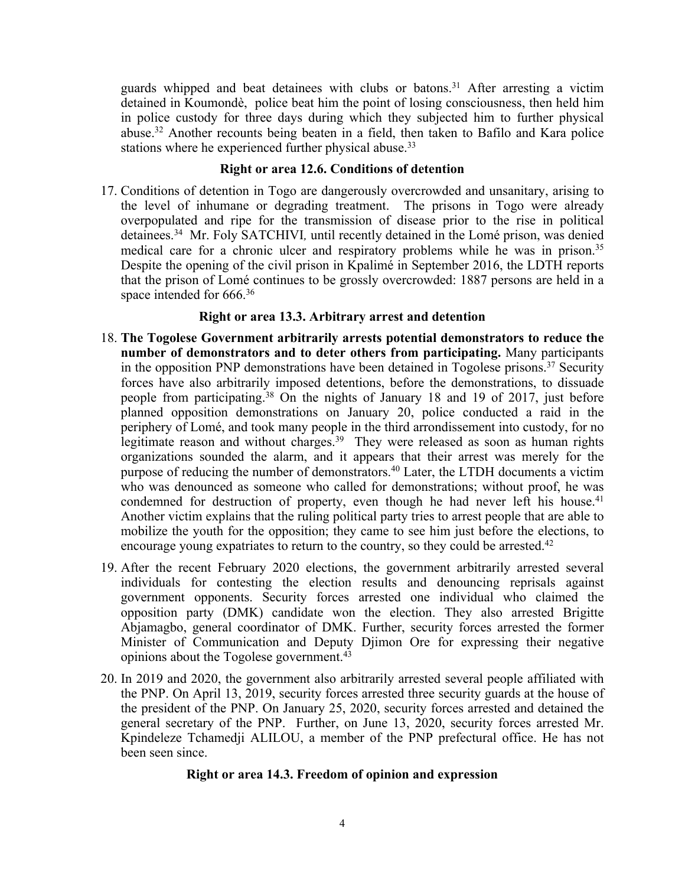guards whipped and beat detainees with clubs or batons. <sup>31</sup> After arresting <sup>a</sup> victim detained in Koumondè, police beat him the point of losing consciousness, then held him in police custody for three days during which they subjected him to further physical abuse. <sup>32</sup> Another recounts being beaten in <sup>a</sup> field, then taken to Bafilo and Kara police stations where he experienced further physical abuse.<sup>33</sup>

### **Right or area 12.6. Conditions of detention**

17. Conditions of detention in Togo are dangerously overcrowded and unsanitary, arising to the level of inhumane or degrading treatment. The prisons in Togo were already overpopulated and ripe for the transmission of disease prior to the rise in political detainees. <sup>34</sup> Mr. Foly SATCHIVI*,* until recently detained in the Lomé prison, was denied medical care for <sup>a</sup> chronic ulcer and respiratory problems while he was in prison. 35 Despite the opening of the civil prison in Kpalimé in September 2016, the LDTH reports that the prison of Lomé continues to be grossly overcrowded: 1887 persons are held in <sup>a</sup> space intended for 666. 36

## **Right or area 13.3. Arbitrary arrest and detention**

- 18. **The Togolese Government arbitrarily arrests potential demonstrators to reduce the number of demonstrators and to deter others from participating.** Many participants in the opposition PNP demonstrations have been detained in Togolese prisons.<sup>37</sup> Security forces have also arbitrarily imposed detentions, before the demonstrations, to dissuade people from participating. <sup>38</sup> On the nights of January 18 and 19 of 2017, just before planned opposition demonstrations on January 20, police conducted <sup>a</sup> raid in the periphery of Lomé, and took many people in the third arrondissement into custody, for no legitimate reason and without charges. 39 They were released as soon as human rights organizations sounded the alarm, and it appears that their arrest was merely for the purpose of reducing the number of demonstrators. 40 Later, the LTDH documents <sup>a</sup> victim who was denounced as someone who called for demonstrations; without proof, he was condemned for destruction of property, even though he had never left his house. 41 Another victim explains that the ruling political party tries to arrest people that are able to mobilize the youth for the opposition; they came to see him just before the elections, to encourage young expatriates to return to the country, so they could be arrested. 42
- 19. After the recent February 2020 elections, the governmen<sup>t</sup> arbitrarily arrested several individuals for contesting the election results and denouncing reprisals against governmen<sup>t</sup> opponents. Security forces arrested one individual who claimed the opposition party (DMK) candidate won the election. They also arrested Brigitte Abjamagbo, general coordinator of DMK. Further, security forces arrested the former Minister of Communication and Deputy Djimon Ore for expressing their negative opinions about the Togolese government. 43
- 20. In 2019 and 2020, the governmen<sup>t</sup> also arbitrarily arrested several people affiliated with the PNP. On April 13, 2019, security forces arrested three security guards at the house of the president of the PNP. On January 25, 2020, security forces arrested and detained the general secretary of the PNP. Further, on June 13, 2020, security forces arrested Mr. Kpindeleze Tchamedji ALILOU, <sup>a</sup> member of the PNP prefectural office. He has not been seen since.

## **Right or area 14.3. Freedom of opinion and expression**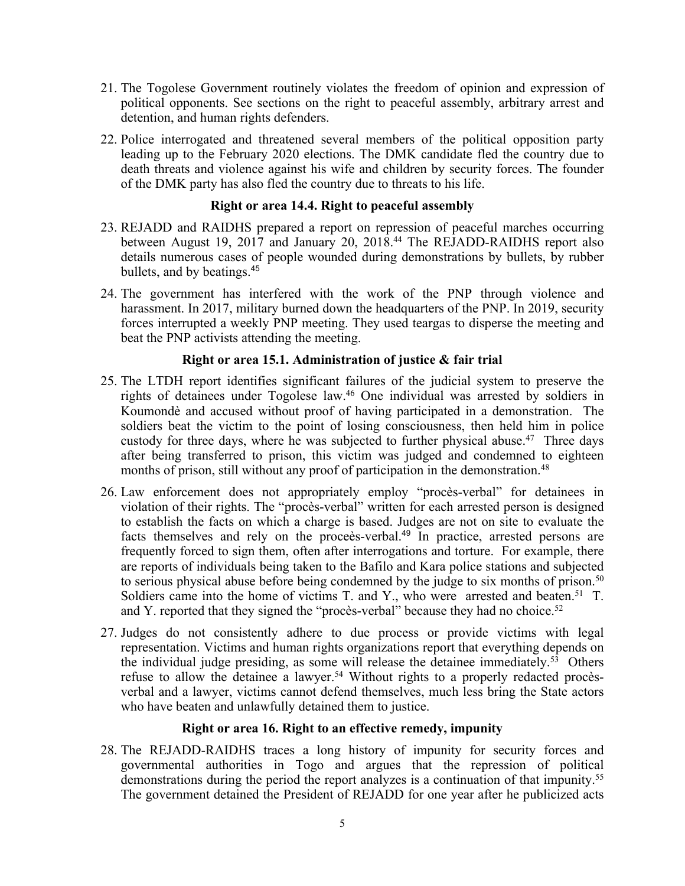- 21. The Togolese Government routinely violates the freedom of opinion and expression of political opponents. See sections on the right to peaceful assembly, arbitrary arrest and detention, and human rights defenders.
- 22. Police interrogated and threatened several members of the political opposition party leading up to the February 2020 elections. The DMK candidate fled the country due to death threats and violence against his wife and children by security forces. The founder of the DMK party has also fled the country due to threats to his life.

## **Right or area 14.4. Right to peaceful assembly**

- 23. REJADD and RAIDHS prepared <sup>a</sup> repor<sup>t</sup> on repression of peaceful marches occurring between August 19, 2017 and January 20, 2018. 44 The REJADD-RAIDHS repor<sup>t</sup> also details numerous cases of people wounded during demonstrations by bullets, by rubber bullets, and by beatings. 45
- 24. The governmen<sup>t</sup> has interfered with the work of the PNP through violence and harassment. In 2017, military burned down the headquarters of the PNP. In 2019, security forces interrupted <sup>a</sup> weekly PNP meeting. They used teargas to disperse the meeting and beat the PNP activists attending the meeting.

## **Right or area 15.1. Administration of justice & fair trial**

- 25. The LTDH repor<sup>t</sup> identifies significant failures of the judicial system to preserve the rights of detainees under Togolese law. <sup>46</sup> One individual was arrested by soldiers in Koumondè and accused without proof of having participated in <sup>a</sup> demonstration. The soldiers beat the victim to the point of losing consciousness, then held him in police custody for three days, where he was subjected to further physical abuse. 47 Three days after being transferred to prison, this victim was judged and condemned to eighteen months of prison, still without any proof of participation in the demonstration.<sup>48</sup>
- 26. Law enforcement does not appropriately employ "procès-verbal" for detainees in violation of their rights. The "procès-verbal" written for each arrested person is designed to establish the facts on which <sup>a</sup> charge is based. Judges are not on site to evaluate the facts themselves and rely on the proceès-verbal. 49 In practice, arrested persons are frequently forced to sign them, often after interrogations and torture. For example, there are reports of individuals being taken to the Bafilo and Kara police stations and subjected to serious physical abuse before being condemned by the judge to six months of prison.<sup>50</sup> Soldiers came into the home of victims T. and Y., who were arrested and beaten.<sup>51</sup> T. and Y. reported that they signed the "procès-verbal" because they had no choice.<sup>52</sup>
- 27. Judges do not consistently adhere to due process or provide victims with legal representation. Victims and human rights organizations repor<sup>t</sup> that everything depends on the individual judge presiding, as some will release the detainee immediately. <sup>53</sup> Others refuse to allow the detainee <sup>a</sup> lawyer. <sup>54</sup> Without rights to <sup>a</sup> properly redacted procèsverbal and <sup>a</sup> lawyer, victims cannot defend themselves, much less bring the State actors who have beaten and unlawfully detained them to justice.

## **Right or area 16. Right to an effective remedy, impunity**

28. The REJADD-RAIDHS traces <sup>a</sup> long history of impunity for security forces and governmental authorities in Togo and argues that the repression of political demonstrations during the period the repor<sup>t</sup> analyzes is <sup>a</sup> continuation of that impunity. 55 The governmen<sup>t</sup> detained the President of REJADD for one year after he publicized acts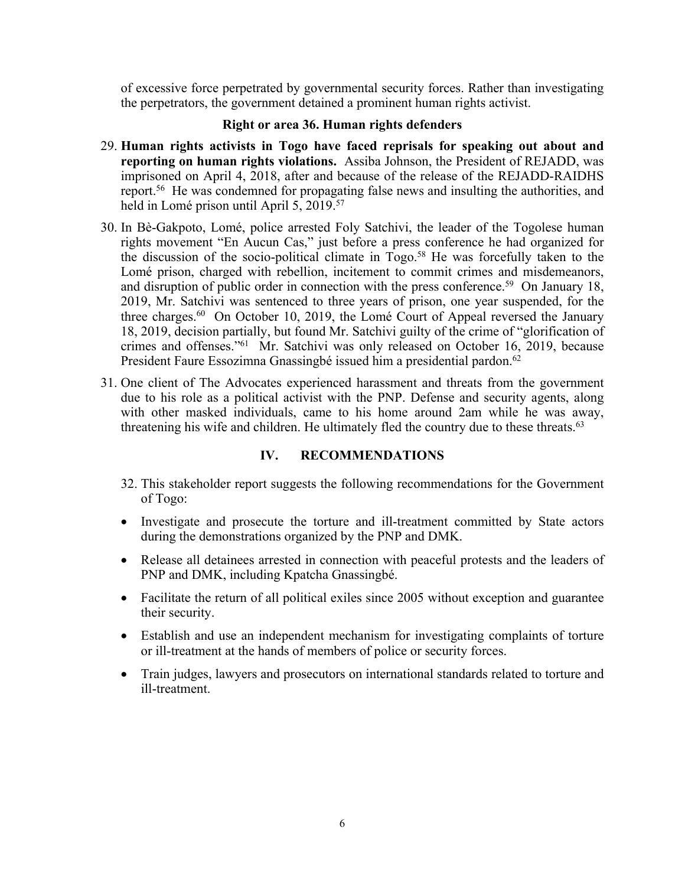of excessive force perpetrated by governmental security forces. Rather than investigating the perpetrators, the governmen<sup>t</sup> detained <sup>a</sup> prominent human rights activist.

### **Right or area 36. Human rights defenders**

- 29. **Human rights activists in Togo have faced reprisals for speaking out about and reporting on human rights violations.** Assiba Johnson, the President of REJADD, was imprisoned on April 4, 2018, after and because of the release of the REJADD-RAIDHS report. <sup>56</sup> He was condemned for propagating false news and insulting the authorities, and held in Lomé prison until April 5, 2019. 57
- 30. In Bè-Gakpoto, Lomé, police arrested Foly Satchivi, the leader of the Togolese human rights movement "En Aucun Cas," just before <sup>a</sup> press conference he had organized for the discussion of the socio-political climate in Togo. <sup>58</sup> He was forcefully taken to the Lomé prison, charged with rebellion, incitement to commit crimes and misdemeanors, and disruption of public order in connection with the press conference. <sup>59</sup> On January 18, 2019, Mr. Satchivi was sentenced to three years of prison, one year suspended, for the three charges.<sup>60</sup> On October 10, 2019, the Lomé Court of Appeal reversed the January 18, 2019, decision partially, but found Mr. Satchivi guilty of the crime of "glorification of crimes and offenses."<sup>61</sup> Mr. Satchivi was only released on October 16, 2019, because President Faure Essozimna Gnassingbé issued him <sup>a</sup> presidential pardon. 62
- 31. One client of The Advocates experienced harassment and threats from the governmen<sup>t</sup> due to his role as <sup>a</sup> political activist with the PNP. Defense and security agents, along with other masked individuals, came to his home around 2am while he was away, threatening his wife and children. He ultimately fled the country due to these threats.<sup>63</sup>

## **IV. RECOMMENDATIONS**

- 32. This stakeholder repor<sup>t</sup> suggests the following recommendations for the Government of Togo:
- Investigate and prosecute the torture and ill-treatment committed by State actors during the demonstrations organized by the PNP and DMK.
- Release all detainees arrested in connection with peaceful protests and the leaders of PNP and DMK, including Kpatcha Gnassingbé.
- Facilitate the return of all political exiles since 2005 without exception and guarantee their security.
- Establish and use an independent mechanism for investigating complaints of torture or ill-treatment at the hands of members of police or security forces.
- Train judges, lawyers and prosecutors on international standards related to torture and ill-treatment.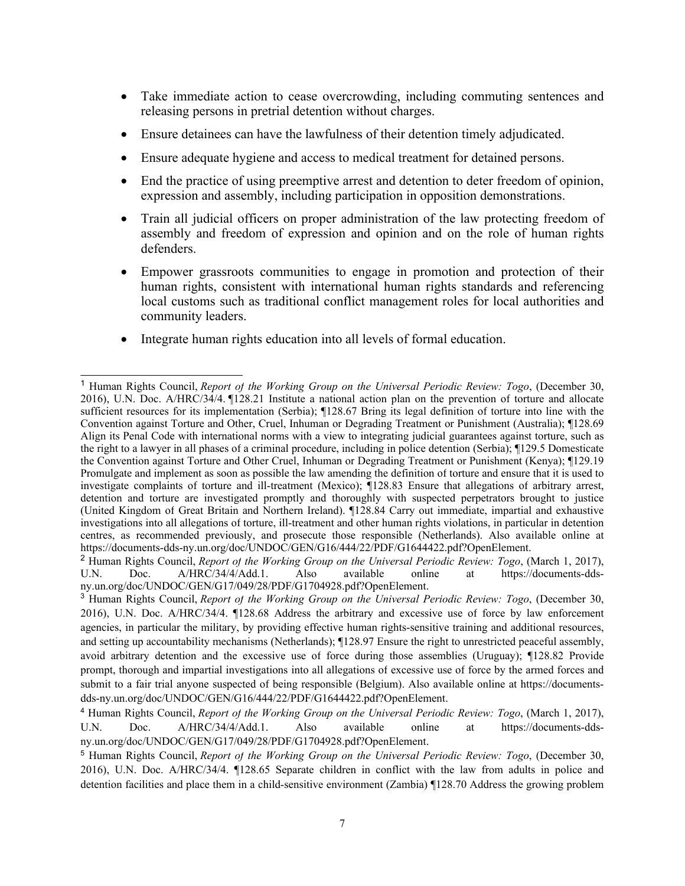- Take immediate action to cease overcrowding, including commuting sentences and releasing persons in pretrial detention without charges.
- $\bullet$ Ensure detainees can have the lawfulness of their detention timely adjudicated.
- 0 Ensure adequate hygiene and access to medical treatment for detained persons.
- $\bullet$  End the practice of using preemptive arrest and detention to deter freedom of opinion, expression and assembly, including participation in opposition demonstrations.
- $\bullet$  Train all judicial officers on proper administration of the law protecting freedom of assembly and freedom of expression and opinion and on the role of human rights defenders.
- Empower grassroots communities to engage in promotion and protection of their human rights, consistent with international human rights standards and referencing local customs such as traditional conflict managemen<sup>t</sup> roles for local authorities and community leaders.
- Integrate human rights education into all levels of formal education.

<sup>1</sup> Human Rights Council, *Report of the Working Group on the Universal Periodic Review: Togo*, (December 30, 2016), U.N. Doc. A/HRC/34/4. ¶128.21 Institute <sup>a</sup> national action plan on the prevention of torture and allocate sufficient resources for its implementation (Serbia); ¶128.67 Bring its legal definition of torture into line with the Convention against Torture and Other, Cruel, Inhuman or Degrading Treatment or Punishment (Australia); ¶128.69 Align its Penal Code with international norms with <sup>a</sup> view to integrating judicial guarantees against torture, such as the right to <sup>a</sup> lawyer in all phases of <sup>a</sup> criminal procedure, including in police detention (Serbia); ¶129.5 Domesticate the Convention against Torture and Other Cruel, Inhuman or Degrading Treatment or Punishment (Kenya); ¶129.19 Promulgate and implement as soon as possible the law amending the definition of torture and ensure that it is used to investigate complaints of torture and ill-treatment (Mexico); ¶128.83 Ensure that allegations of arbitrary arrest, detention and torture are investigated promptly and thoroughly with suspected perpetrators brought to justice (United Kingdom of Great Britain and Northern Ireland). ¶128.84 Carry out immediate, impartial and exhaustive investigations into all allegations of torture, ill-treatment and other human rights violations, in particular in detention centres, as recommended previously, and prosecute those responsible (Netherlands). Also available online at <https://documents-dds-ny.un.org/doc/UNDOC/GEN/G16/444/22/PDF/G1644422.pdf?OpenElement.>

<sup>2</sup> Human Rights Council, *Report of the Working Group on the Universal Periodic Review: Togo*, (March 1, 2017), Also available online at [https://documents-dds](https://documents-dds-ny.un.org/doc/UNDOC/GEN/G17/049/28/PDF/G1704928.pdf?OpenElement)[ny.un.org/doc/UNDOC/GEN/G17/049/28/PDF/G1704928.pdf?OpenElement](https://documents-dds-ny.un.org/doc/UNDOC/GEN/G17/049/28/PDF/G1704928.pdf?OpenElement).

<sup>3</sup> Human Rights Council, *Report of the Working Group on the Universal Periodic Review: Togo*, (December 30, 2016), U.N. Doc. A/HRC/34/4. ¶128.68 Address the arbitrary and excessive use of force by law enforcement agencies, in particular the military, by providing effective human rights-sensitive training and additional resources, and setting up accountability mechanisms (Netherlands); ¶128.97 Ensure the right to unrestricted peaceful assembly, avoid arbitrary detention and the excessive use of force during those assemblies (Uruguay); ¶128.82 Provide prompt, thorough and impartial investigations into all allegations of excessive use of force by the armed forces and submit to <sup>a</sup> fair trial anyone suspected of being responsible (Belgium). Also available online at [https://documents](https://documents-dds-ny.un.org/doc/UNDOC/GEN/G16/444/22/PDF/G1644422.pdf?OpenElement)[dds-ny.un.org/doc/UNDOC/GEN/G16/444/22/PDF/G1644422.pdf?OpenElement](https://documents-dds-ny.un.org/doc/UNDOC/GEN/G16/444/22/PDF/G1644422.pdf?OpenElement).

<sup>4</sup> Human Rights Council, *Report of the Working Group on the Universal Periodic Review: Togo*, (March 1, 2017), U.N. Doc. A/HRC/34/4/Add.1. Also available online at [https://documents-dds](https://documents-dds-ny.un.org/doc/UNDOC/GEN/G17/049/28/PDF/G1704928.pdf?OpenElement)[ny.un.org/doc/UNDOC/GEN/G17/049/28/PDF/G1704928.pdf?OpenElement](https://documents-dds-ny.un.org/doc/UNDOC/GEN/G17/049/28/PDF/G1704928.pdf?OpenElement).

<sup>5</sup> Human Rights Council, *Report of the Working Group on the Universal Periodic Review: Togo*, (December 30, 2016), U.N. Doc. A/HRC/34/4. ¶128.65 Separate children in conflict with the law from adults in police and detention facilities and place them in <sup>a</sup> child-sensitive environment (Zambia) ¶128.70 Address the growing problem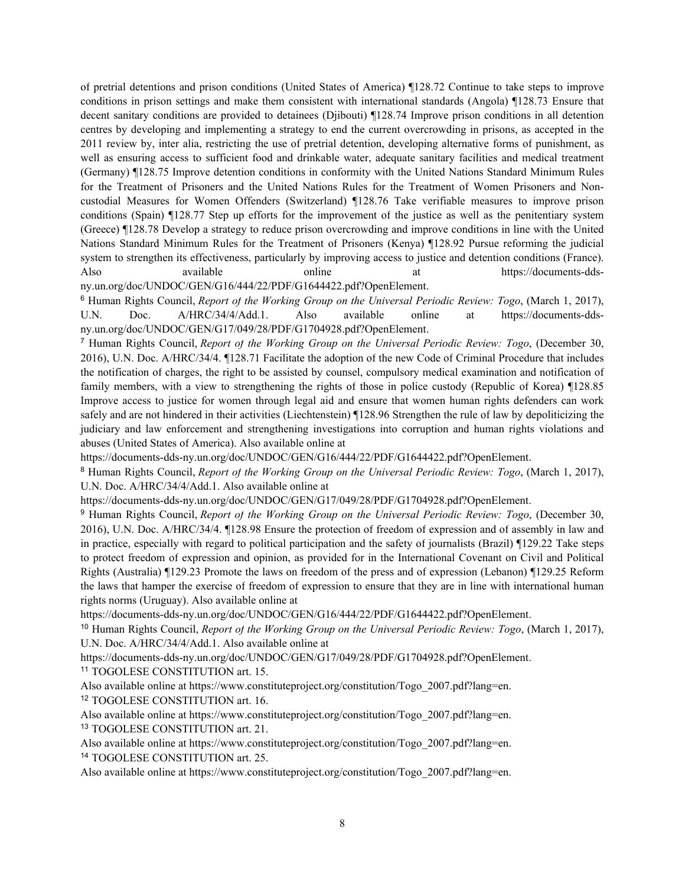of pretrial detentions and prison conditions (United States of America) ¶128.72 Continue to take steps to improve conditions in prison settings and make them consistent with international standards (Angola) ¶128.73 Ensure that decent sanitary conditions are provided to detainees (Djibouti) ¶128.74 Improve prison conditions in all detention centres by developing and implementing <sup>a</sup> strategy to end the current overcrowding in prisons, as accepted in the 2011 review by, inter alia, restricting the use of pretrial detention, developing alternative forms of punishment, as well as ensuring access to sufficient food and drinkable water, adequate sanitary facilities and medical treatment (Germany) ¶128.75 Improve detention conditions in conformity with the United Nations Standard Minimum Rules for the Treatment of Prisoners and the United Nations Rules for the Treatment of Women Prisoners and Noncustodial Measures for Women Offenders (Switzerland) ¶128.76 Take verifiable measures to improve prison conditions (Spain) ¶128.77 Step up efforts for the improvement of the justice as well as the penitentiary system (Greece) ¶128.78 Develop <sup>a</sup> strategy to reduce prison overcrowding and improve conditions in line with the United Nations Standard Minimum Rules for the Treatment of Prisoners (Kenya) ¶128.92 Pursue reforming the judicial system to strengthen its effectiveness, particularly by improving access to justice and detention conditions (France). Also available online at [https://documents-dds](https://documents-dds-ny.un.org/doc/UNDOC/GEN/G16/444/22/PDF/G1644422.pdf?OpenElement)[ny.un.org/doc/UNDOC/GEN/G16/444/22/PDF/G1644422.pdf?OpenElement](https://documents-dds-ny.un.org/doc/UNDOC/GEN/G16/444/22/PDF/G1644422.pdf?OpenElement).

<sup>6</sup> Human Rights Council, *Report of the Working Group on the Universal Periodic Review: Togo*, (March 1, 2017), U.N. Doc. A/HRC/34/4/Add.1. Also available online at [https://documents-dds](https://documents-dds-ny.un.org/doc/UNDOC/GEN/G17/049/28/PDF/G1704928.pdf?OpenElement)[ny.un.org/doc/UNDOC/GEN/G17/049/28/PDF/G1704928.pdf?OpenElement](https://documents-dds-ny.un.org/doc/UNDOC/GEN/G17/049/28/PDF/G1704928.pdf?OpenElement).

<sup>7</sup> Human Rights Council, *Report of the Working Group on the Universal Periodic Review: Togo*, (December 30, 2016), U.N. Doc. A/HRC/34/4. ¶128.71 Facilitate the adoption of the new Code of Criminal Procedure that includes the notification of charges, the right to be assisted by counsel, compulsory medical examination and notification of family members, with <sup>a</sup> view to strengthening the rights of those in police custody (Republic of Korea) ¶128.85 Improve access to justice for women through legal aid and ensure that women human rights defenders can work safely and are not hindered in their activities (Liechtenstein) ¶128.96 Strengthen the rule of law by depoliticizing the judiciary and law enforcement and strengthening investigations into corruption and human rights violations and abuses (United States of America). Also available online at

<https://documents-dds-ny.un.org/doc/UNDOC/GEN/G16/444/22/PDF/G1644422.pdf?OpenElement>.

<sup>8</sup> Human Rights Council, *Report of the Working Group on the Universal Periodic Review: Togo*, (March 1, 2017), U.N. Doc. A/HRC/34/4/Add.1. Also available online at

<https://documents-dds-ny.un.org/doc/UNDOC/GEN/G17/049/28/PDF/G1704928.pdf?OpenElement>.

<sup>9</sup> Human Rights Council, *Report of the Working Group on the Universal Periodic Review: Togo*, (December 30, 2016), U.N. Doc. A/HRC/34/4. ¶128.98 Ensure the protection of freedom of expression and of assembly in law and in practice, especially with regard to political participation and the safety of journalists (Brazil) ¶129.22 Take steps to protect freedom of expression and opinion, as provided for in the International Covenant on Civil and Political Rights (Australia) ¶129.23 Promote the laws on freedom of the press and of expression (Lebanon) ¶129.25 Reform the laws that hamper the exercise of freedom of expression to ensure that they are in line with international human rights norms (Uruguay). Also available online at

<https://documents-dds-ny.un.org/doc/UNDOC/GEN/G16/444/22/PDF/G1644422.pdf?OpenElement>.

<sup>10</sup> Human Rights Council, *Report of the Working Group on the Universal Periodic Review: Togo*, (March 1, 2017), U.N. Doc. A/HRC/34/4/Add.1. Also available online at

<https://documents-dds-ny.un.org/doc/UNDOC/GEN/G17/049/28/PDF/G1704928.pdf?OpenElement>.

11 TOGOLESE CONSTITUTION art. 15.

Also available online at https://www.constituteproject.org/constitution/Togo\_2007.pdf?lang=en. 12 TOGOLESE CONSTITUTION art. 16.

Also available online at https://www.constituteproject.org/constitution/Togo\_2007.pdf?lang=en. 13 TOGOLESE CONSTITUTION art. 21.

Also available online at https://www.constituteproject.org/constitution/Togo\_2007.pdf?lang=en. 14 TOGOLESE CONSTITUTION art. 25.

Also available online at https://www.constituteproject.org/constitution/Togo\_2007.pdf?lang=en.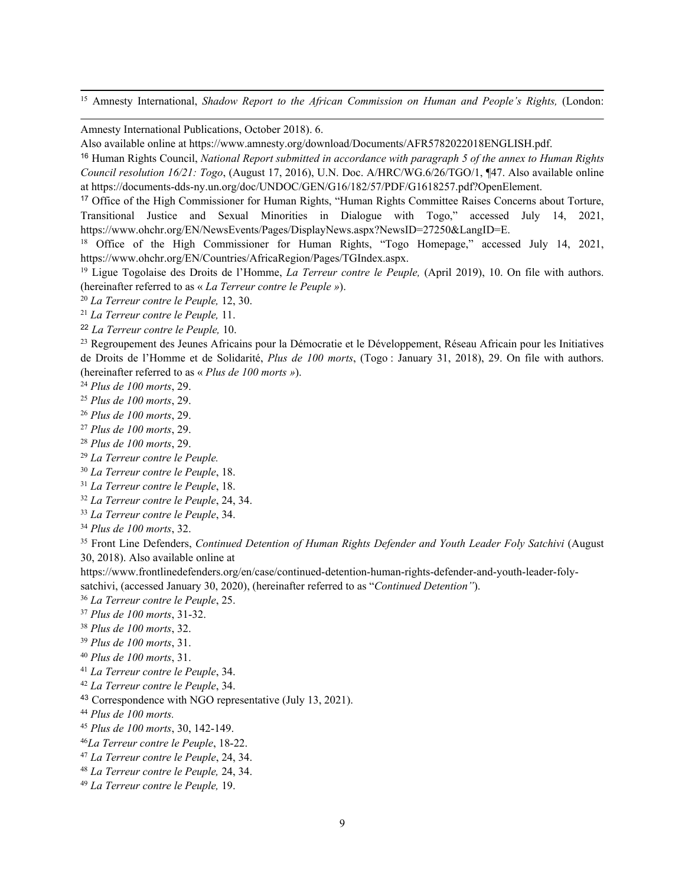<sup>15</sup> Amnesty International, *Shadow Report to the African Commission on Human and People'<sup>s</sup> Rights,* (London:

Amnesty International Publications, October 2018). 6.

<sup>17</sup> Office of the High Commissioner for Human Rights, "Human Rights Committee Raises Concerns about Torture, Transitional Justice and Sexual Minorities in Dialogue with Togo," accessed July 14, 2021, https://www.ohchr.org/EN/NewsEvents/Pages/DisplayNews.aspx?NewsID=27250&LangID=E.

<sup>18</sup> Office of the High Commissioner for Human Rights, "Togo Homepage," accessed July 14, 2021, https://www.ohchr.org/EN/Countries/AfricaRegion/Pages/TGIndex.aspx.

19 Ligue Togolaise des Droits de l'Homme, *La Terreur contre le Peuple,* (April 2019), 10. On file with authors. (hereinafter referred to as « *La Terreur contre le Peuple »*).

20 *La Terreur contre le Peuple,* 12, 30.

21 *La Terreur contre le Peuple,* 11.

22 *La Terreur contre le Peuple,* 10.

<sup>23</sup> Regroupement des Jeunes Africains pour la Démocratie et le Développement, Réseau Africain pour les Initiatives de Droits de l'Homme et de Solidarité, *Plus de 100 morts*, (Togo : January 31, 2018), 29. On file with authors. (hereinafter referred to as « *Plus de 100 morts »*).

24 *Plus de 100 morts*, 29.

- 25 *Plus de 100 morts*, 29.
- 26 *Plus de 100 morts*, 29.
- 27 *Plus de 100 morts*, 29.
- 28 *Plus de 100 morts*, 29.
- 29 *La Terreur contre le Peuple.*

30 *La Terreur contre le Peuple*, 18.

- 31 *La Terreur contre le Peuple*, 18.
- 32 *La Terreur contre le Peuple*, 24, 34.
- 33 *La Terreur contre le Peuple*, 34.
- 34 *Plus de 100 morts*, 32.

35 Front Line Defenders, *Continued Detention of Human Rights Defender and Youth Leader Foly Satchivi* (August 30, 2018). Also available online at

[https://www.frontlinedefenders.org/en/case/continued-detention-human-rights-defender-and-youth-leader-foly-](https://www.frontlinedefenders.org/en/case/continued-detention-human-rights-defender-and-youth-leader-foly-satchivi,)

[satchivi,](https://www.frontlinedefenders.org/en/case/continued-detention-human-rights-defender-and-youth-leader-foly-satchivi,) (accessed January 30, 2020), (hereinafter referred to as "*Continued Detention"*).

36 *La Terreur contre le Peuple*, 25.

- 37 *Plus de 100 morts*, 31-32.
- 38 *Plus de 100 morts*, 32.
- 39 *Plus de 100 morts*, 31.
- 40 *Plus de 100 morts*, 31.
- 41 *La Terreur contre le Peuple*, 34.
- 42 *La Terreur contre le Peuple*, 34.
- <sup>43</sup> Correspondence with NGO representative (July 13, 2021).
- 44 *Plus de 100 morts.*
- 45 *Plus de 100 morts*, 30, 142-149.
- 46 *La Terreur contre le Peuple*, 18-22.
- 47 *La Terreur contre le Peuple*, 24, 34.
- 48 *La Terreur contre le Peuple,* 24, 34.
- 49 *La Terreur contre le Peuple,* 19.

Also available online at https://www.amnesty.org/download/Documents/AFR5782022018ENGLISH.pdf.

<sup>16</sup> Human Rights Council, *National Report submitted in accordance with paragraph <sup>5</sup> of the annex to Human Rights Council resolution 16/21: Togo*, (August 17, 2016), U.N. Doc. A/HRC/WG.6/26/TGO/1, ¶47. Also available online at https://documents-dds-ny.un.org/doc/UNDOC/GEN/G16/182/57/PDF/G1618257.pdf?OpenElement.